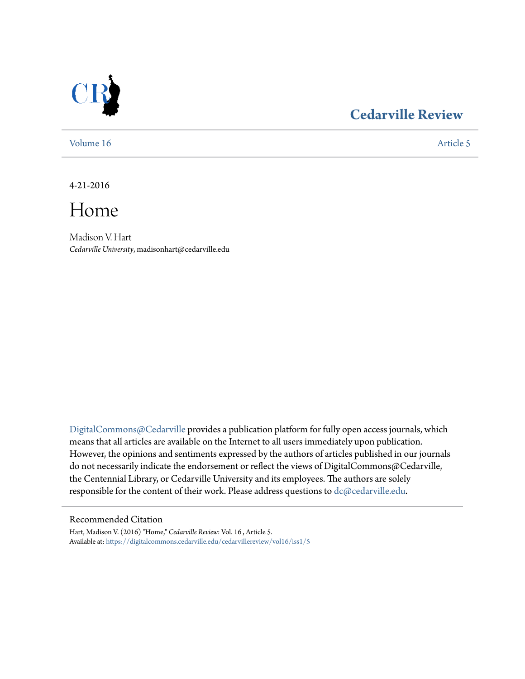

## **[Cedarville Review](https://digitalcommons.cedarville.edu/cedarvillereview?utm_source=digitalcommons.cedarville.edu%2Fcedarvillereview%2Fvol16%2Fiss1%2F5&utm_medium=PDF&utm_campaign=PDFCoverPages)**

[Volume 16](https://digitalcommons.cedarville.edu/cedarvillereview/vol16?utm_source=digitalcommons.cedarville.edu%2Fcedarvillereview%2Fvol16%2Fiss1%2F5&utm_medium=PDF&utm_campaign=PDFCoverPages) [Article 5](https://digitalcommons.cedarville.edu/cedarvillereview/vol16/iss1/5?utm_source=digitalcommons.cedarville.edu%2Fcedarvillereview%2Fvol16%2Fiss1%2F5&utm_medium=PDF&utm_campaign=PDFCoverPages)

4-21-2016

Home

Madison V. Hart *Cedarville University*, madisonhart@cedarville.edu

[DigitalCommons@Cedarville](http://digitalcommons.cedarville.edu) provides a publication platform for fully open access journals, which means that all articles are available on the Internet to all users immediately upon publication. However, the opinions and sentiments expressed by the authors of articles published in our journals do not necessarily indicate the endorsement or reflect the views of DigitalCommons@Cedarville, the Centennial Library, or Cedarville University and its employees. The authors are solely responsible for the content of their work. Please address questions to [dc@cedarville.edu](mailto:dc@cedarville.edu).

#### Recommended Citation

Hart, Madison V. (2016) "Home," *Cedarville Review*: Vol. 16 , Article 5. Available at: [https://digitalcommons.cedarville.edu/cedarvillereview/vol16/iss1/5](https://digitalcommons.cedarville.edu/cedarvillereview/vol16/iss1/5?utm_source=digitalcommons.cedarville.edu%2Fcedarvillereview%2Fvol16%2Fiss1%2F5&utm_medium=PDF&utm_campaign=PDFCoverPages)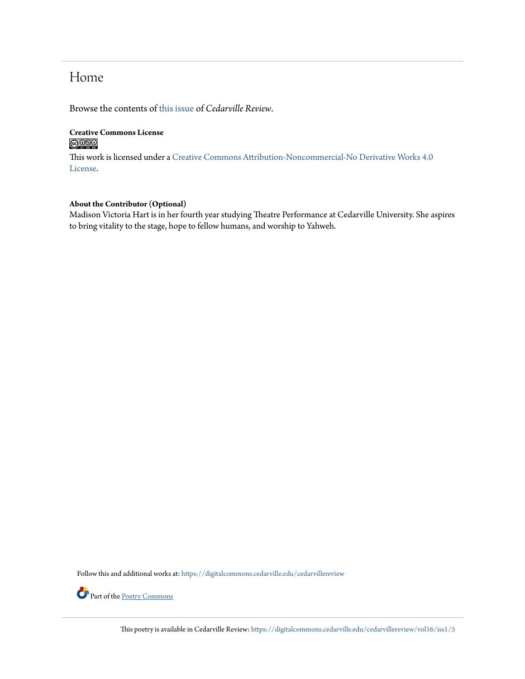# Home

Browse the contents of [this issue](https://digitalcommons.cedarville.edu/cedarvillereview/vol16/iss1) of *Cedarville Review*.

### **Creative Commons License**  $\bigcirc$   $\circ$

This work is licensed under a [Creative Commons Attribution-Noncommercial-No Derivative Works 4.0](http://creativecommons.org/licenses/by-nc-nd/4.0/) [License.](http://creativecommons.org/licenses/by-nc-nd/4.0/)

#### **About the Contributor (Optional)**

Madison Victoria Hart is in her fourth year studying Theatre Performance at Cedarville University. She aspires to bring vitality to the stage, hope to fellow humans, and worship to Yahweh.

Follow this and additional works at: [https://digitalcommons.cedarville.edu/cedarvillereview](https://digitalcommons.cedarville.edu/cedarvillereview?utm_source=digitalcommons.cedarville.edu%2Fcedarvillereview%2Fvol16%2Fiss1%2F5&utm_medium=PDF&utm_campaign=PDFCoverPages)



This poetry is available in Cedarville Review: [https://digitalcommons.cedarville.edu/cedarvillereview/vol16/iss1/5](https://digitalcommons.cedarville.edu/cedarvillereview/vol16/iss1/5?utm_source=digitalcommons.cedarville.edu%2Fcedarvillereview%2Fvol16%2Fiss1%2F5&utm_medium=PDF&utm_campaign=PDFCoverPages)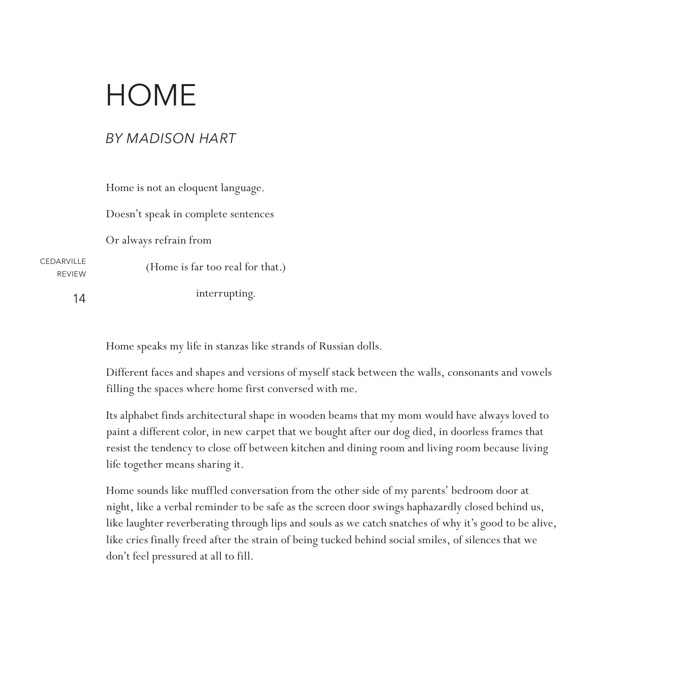# HOME

## *BY MADISON HART*

Home is not an eloquent language.

Doesn't speak in complete sentences

Or always refrain from

**CEDARVILLE** REVIEW (Home is far too real for that.)

14

interrupting.

Home speaks my life in stanzas like strands of Russian dolls.

Different faces and shapes and versions of myself stack between the walls, consonants and vowels filling the spaces where home first conversed with me.

Its alphabet finds architectural shape in wooden beams that my mom would have always loved to paint a different color, in new carpet that we bought after our dog died, in doorless frames that resist the tendency to close off between kitchen and dining room and living room because living life together means sharing it.

Home sounds like muffled conversation from the other side of my parents' bedroom door at night, like a verbal reminder to be safe as the screen door swings haphazardly closed behind us, like laughter reverberating through lips and souls as we catch snatches of why it's good to be alive, like cries finally freed after the strain of being tucked behind social smiles, of silences that we don't feel pressured at all to fill.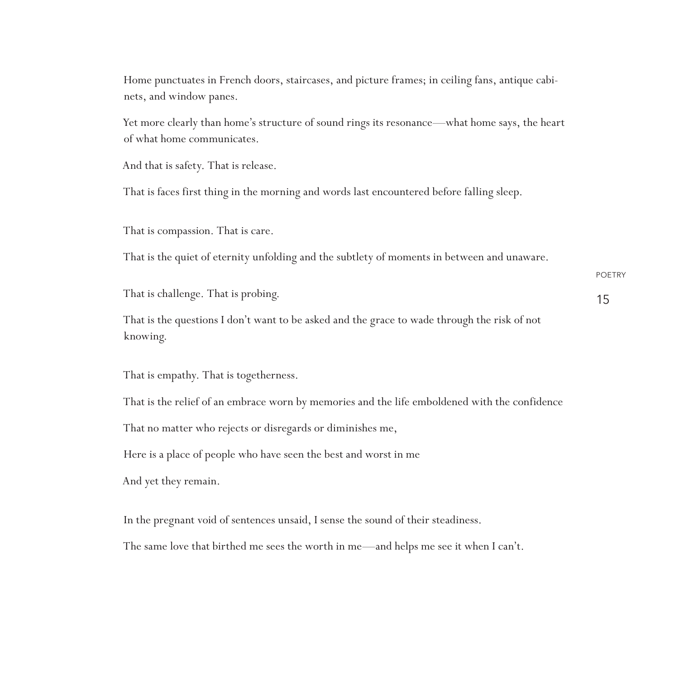Home punctuates in French doors, staircases, and picture frames; in ceiling fans, antique cabinets, and window panes.

Yet more clearly than home's structure of sound rings its resonance—what home says, the heart of what home communicates.

And that is safety. That is release.

That is faces first thing in the morning and words last encountered before falling sleep.

That is compassion. That is care.

That is the quiet of eternity unfolding and the subtlety of moments in between and unaware.

That is challenge. That is probing.

POETRY 15

That is the questions I don't want to be asked and the grace to wade through the risk of not knowing.

That is empathy. That is togetherness.

That is the relief of an embrace worn by memories and the life emboldened with the confidence

That no matter who rejects or disregards or diminishes me,

Here is a place of people who have seen the best and worst in me

And yet they remain.

In the pregnant void of sentences unsaid, I sense the sound of their steadiness.

The same love that birthed me sees the worth in me—and helps me see it when I can't.